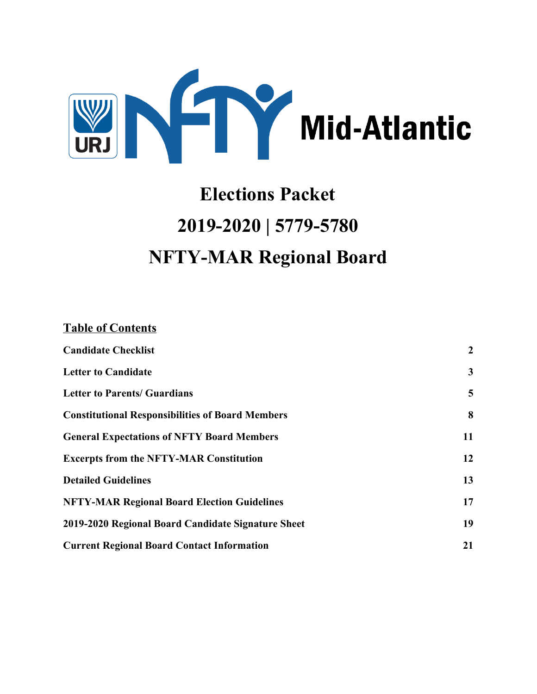

# **Elections Packet 2019-2020 | 5779-5780 NFTY-MAR Regional Board**

### **Table of Contents**

| <b>Candidate Checklist</b>                              | $\boldsymbol{2}$ |
|---------------------------------------------------------|------------------|
| <b>Letter to Candidate</b>                              | $\mathbf{3}$     |
| <b>Letter to Parents/ Guardians</b>                     | 5                |
| <b>Constitutional Responsibilities of Board Members</b> | 8                |
| <b>General Expectations of NFTY Board Members</b>       | 11               |
| <b>Excerpts from the NFTY-MAR Constitution</b>          | 12               |
| <b>Detailed Guidelines</b>                              | 13               |
| <b>NFTY-MAR Regional Board Election Guidelines</b>      | 17               |
| 2019-2020 Regional Board Candidate Signature Sheet      | 19               |
| <b>Current Regional Board Contact Information</b>       | 21               |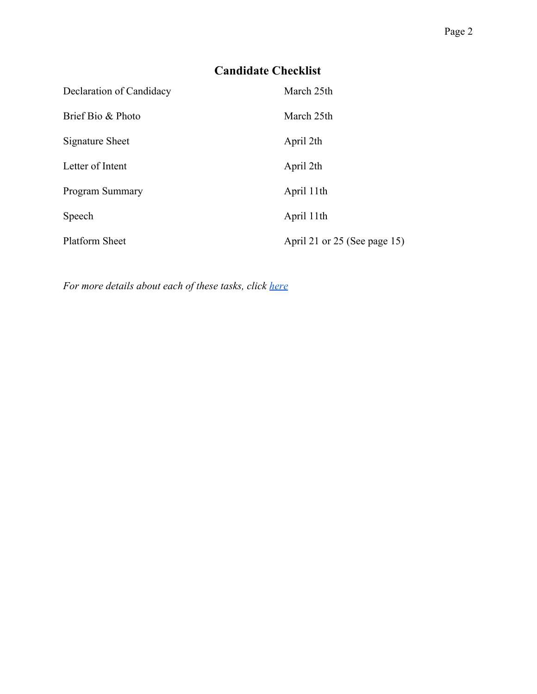# **Candidate Checklist**

<span id="page-1-0"></span>

| Declaration of Candidacy | March 25th                   |
|--------------------------|------------------------------|
| Brief Bio & Photo        | March 25th                   |
| Signature Sheet          | April 2th                    |
| Letter of Intent         | April 2th                    |
| Program Summary          | April 11th                   |
| Speech                   | April 11th                   |
| <b>Platform Sheet</b>    | April 21 or 25 (See page 15) |

*For more details about each of these tasks, click [here](#page-12-0)*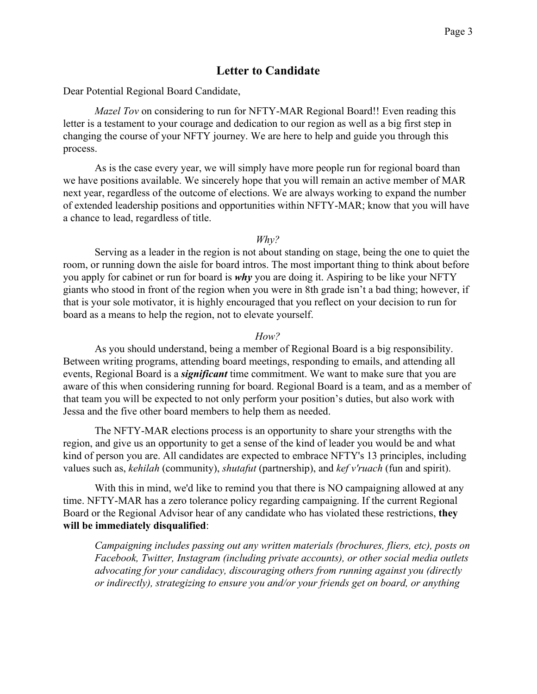#### **Letter to Candidate**

<span id="page-2-0"></span>Dear Potential Regional Board Candidate,

*Mazel Tov* on considering to run for NFTY-MAR Regional Board!! Even reading this letter is a testament to your courage and dedication to our region as well as a big first step in changing the course of your NFTY journey. We are here to help and guide you through this process.

As is the case every year, we will simply have more people run for regional board than we have positions available. We sincerely hope that you will remain an active member of MAR next year, regardless of the outcome of elections. We are always working to expand the number of extended leadership positions and opportunities within NFTY-MAR; know that you will have a chance to lead, regardless of title.

*Why?*

Serving as a leader in the region is not about standing on stage, being the one to quiet the room, or running down the aisle for board intros. The most important thing to think about before you apply for cabinet or run for board is *why* you are doing it. Aspiring to be like your NFTY giants who stood in front of the region when you were in 8th grade isn't a bad thing; however, if that is your sole motivator, it is highly encouraged that you reflect on your decision to run for board as a means to help the region, not to elevate yourself.

*How?*

As you should understand, being a member of Regional Board is a big responsibility. Between writing programs, attending board meetings, responding to emails, and attending all events, Regional Board is a *significant* time commitment. We want to make sure that you are aware of this when considering running for board. Regional Board is a team, and as a member of that team you will be expected to not only perform your position's duties, but also work with Jessa and the five other board members to help them as needed.

The NFTY-MAR elections process is an opportunity to share your strengths with the region, and give us an opportunity to get a sense of the kind of leader you would be and what kind of person you are. All candidates are expected to embrace NFTY's 13 principles, including values such as, *kehilah* (community), *shutafut* (partnership), and *kef v'ruach* (fun and spirit).

With this in mind, we'd like to remind you that there is NO campaigning allowed at any time. NFTY-MAR has a zero tolerance policy regarding campaigning. If the current Regional Board or the Regional Advisor hear of any candidate who has violated these restrictions, **they will be immediately disqualified**:

*Campaigning includes passing out any written materials (brochures, fliers, etc), posts on Facebook, Twitter, Instagram (including private accounts), or other social media outlets advocating for your candidacy, discouraging others from running against you (directly or indirectly), strategizing to ensure you and/or your friends get on board, or anything*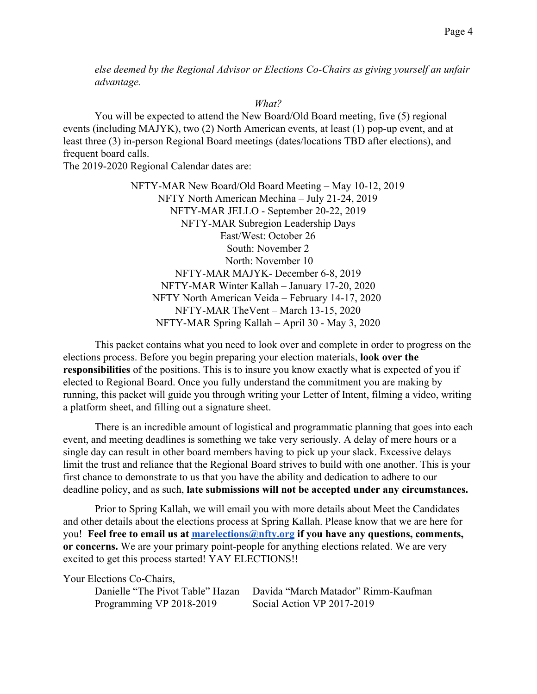*else deemed by the Regional Advisor or Elections Co-Chairs as giving yourself an unfair advantage.*

#### *What?*

You will be expected to attend the New Board/Old Board meeting, five (5) regional events (including MAJYK), two (2) North American events, at least (1) pop-up event, and at least three (3) in-person Regional Board meetings (dates/locations TBD after elections), and frequent board calls.

The 2019-2020 Regional Calendar dates are:

NFTY-MAR New Board/Old Board Meeting – May 10-12, 2019 NFTY North American Mechina – July 21-24, 2019 NFTY-MAR JELLO - September 20-22, 2019 NFTY-MAR Subregion Leadership Days East/West: October 26 South: November 2 North: November 10 NFTY-MAR MAJYK- December 6-8, 2019 NFTY-MAR Winter Kallah – January 17-20, 2020 NFTY North American Veida – February 14-17, 2020 NFTY-MAR TheVent – March 13-15, 2020 NFTY-MAR Spring Kallah – April 30 - May 3, 2020

This packet contains what you need to look over and complete in order to progress on the elections process. Before you begin preparing your election materials, **look over the responsibilities** of the positions. This is to insure you know exactly what is expected of you if elected to Regional Board. Once you fully understand the commitment you are making by running, this packet will guide you through writing your Letter of Intent, filming a video, writing a platform sheet, and filling out a signature sheet.

There is an incredible amount of logistical and programmatic planning that goes into each event, and meeting deadlines is something we take very seriously. A delay of mere hours or a single day can result in other board members having to pick up your slack. Excessive delays limit the trust and reliance that the Regional Board strives to build with one another. This is your first chance to demonstrate to us that you have the ability and dedication to adhere to our deadline policy, and as such, **late submissions will not be accepted under any circumstances.**

Prior to Spring Kallah, we will email you with more details about Meet the Candidates and other details about the elections process at Spring Kallah. Please know that we are here for you! **Feel free to email us at [marelections@nfty.org](mailto:marelections@nfty.org) if you have any questions, comments, or concerns.** We are your primary point-people for anything elections related. We are very excited to get this process started! YAY ELECTIONS!!

Your Elections Co-Chairs,

Danielle "The Pivot Table" Hazan Davida "March Matador" Rimm-Kaufman Programming VP 2018-2019 Social Action VP 2017-2019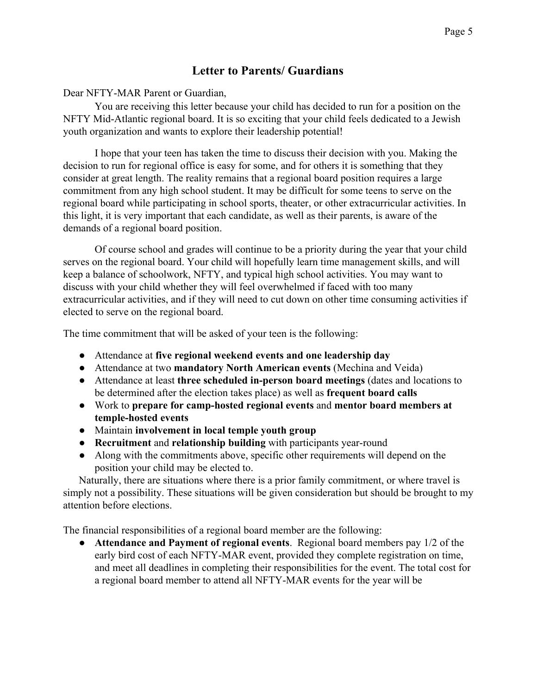## **Letter to Parents/ Guardians**

#### <span id="page-4-0"></span>Dear NFTY-MAR Parent or Guardian,

You are receiving this letter because your child has decided to run for a position on the NFTY Mid-Atlantic regional board. It is so exciting that your child feels dedicated to a Jewish youth organization and wants to explore their leadership potential!

I hope that your teen has taken the time to discuss their decision with you. Making the decision to run for regional office is easy for some, and for others it is something that they consider at great length. The reality remains that a regional board position requires a large commitment from any high school student. It may be difficult for some teens to serve on the regional board while participating in school sports, theater, or other extracurricular activities. In this light, it is very important that each candidate, as well as their parents, is aware of the demands of a regional board position.

Of course school and grades will continue to be a priority during the year that your child serves on the regional board. Your child will hopefully learn time management skills, and will keep a balance of schoolwork, NFTY, and typical high school activities. You may want to discuss with your child whether they will feel overwhelmed if faced with too many extracurricular activities, and if they will need to cut down on other time consuming activities if elected to serve on the regional board.

The time commitment that will be asked of your teen is the following:

- Attendance at **five regional weekend events and one leadership day**
- Attendance at two **mandatory North American events** (Mechina and Veida)
- Attendance at least **three scheduled in-person board meetings** (dates and locations to be determined after the election takes place) as well as **frequent board calls**
- Work to **prepare for camp-hosted regional events** and **mentor board members at temple-hosted events**
- Maintain **involvement in local temple youth group**
- **Recruitment** and **relationship building** with participants year-round
- Along with the commitments above, specific other requirements will depend on the position your child may be elected to.

Naturally, there are situations where there is a prior family commitment, or where travel is simply not a possibility. These situations will be given consideration but should be brought to my attention before elections.

The financial responsibilities of a regional board member are the following:

● **Attendance and Payment of regional events**. Regional board members pay 1/2 of the early bird cost of each NFTY-MAR event, provided they complete registration on time, and meet all deadlines in completing their responsibilities for the event. The total cost for a regional board member to attend all NFTY-MAR events for the year will be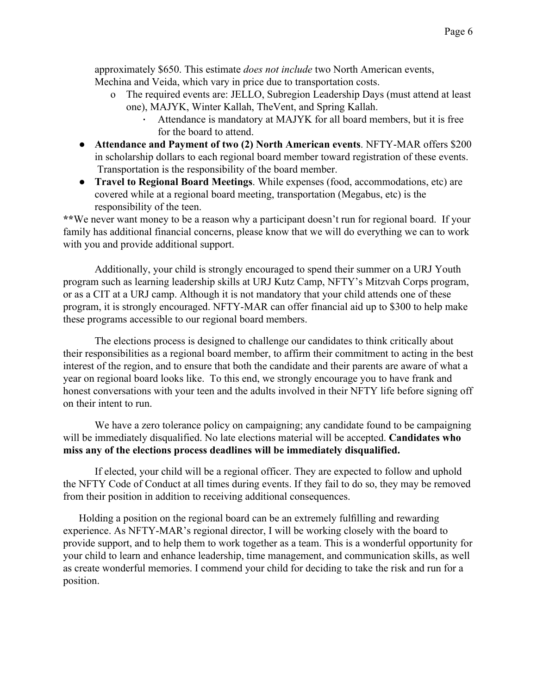approximately \$650. This estimate *does not include* two North American events, Mechina and Veida, which vary in price due to transportation costs.

- o The required events are: JELLO, Subregion Leadership Days (must attend at least one), MAJYK, Winter Kallah, TheVent, and Spring Kallah.
	- Attendance is mandatory at MAJYK for all board members, but it is free for the board to attend.
- **Attendance and Payment of two (2) North American events**. NFTY-MAR offers \$200 in scholarship dollars to each regional board member toward registration of these events. Transportation is the responsibility of the board member.
- **Travel to Regional Board Meetings**. While expenses (food, accommodations, etc) are covered while at a regional board meeting, transportation (Megabus, etc) is the responsibility of the teen.

**\*\***We never want money to be a reason why a participant doesn't run for regional board. If your family has additional financial concerns, please know that we will do everything we can to work with you and provide additional support.

Additionally, your child is strongly encouraged to spend their summer on a URJ Youth program such as learning leadership skills at URJ Kutz Camp, NFTY's Mitzvah Corps program, or as a CIT at a URJ camp. Although it is not mandatory that your child attends one of these program, it is strongly encouraged. NFTY-MAR can offer financial aid up to \$300 to help make these programs accessible to our regional board members.

The elections process is designed to challenge our candidates to think critically about their responsibilities as a regional board member, to affirm their commitment to acting in the best interest of the region, and to ensure that both the candidate and their parents are aware of what a year on regional board looks like. To this end, we strongly encourage you to have frank and honest conversations with your teen and the adults involved in their NFTY life before signing off on their intent to run.

We have a zero tolerance policy on campaigning; any candidate found to be campaigning will be immediately disqualified. No late elections material will be accepted. **Candidates who miss any of the elections process deadlines will be immediately disqualified.**

If elected, your child will be a regional officer. They are expected to follow and uphold the NFTY Code of Conduct at all times during events. If they fail to do so, they may be removed from their position in addition to receiving additional consequences.

Holding a position on the regional board can be an extremely fullling and rewarding experience. As NFTY-MAR's regional director, I will be working closely with the board to provide support, and to help them to work together as a team. This is a wonderful opportunity for your child to learn and enhance leadership, time management, and communication skills, as well as create wonderful memories. I commend your child for deciding to take the risk and run for a position.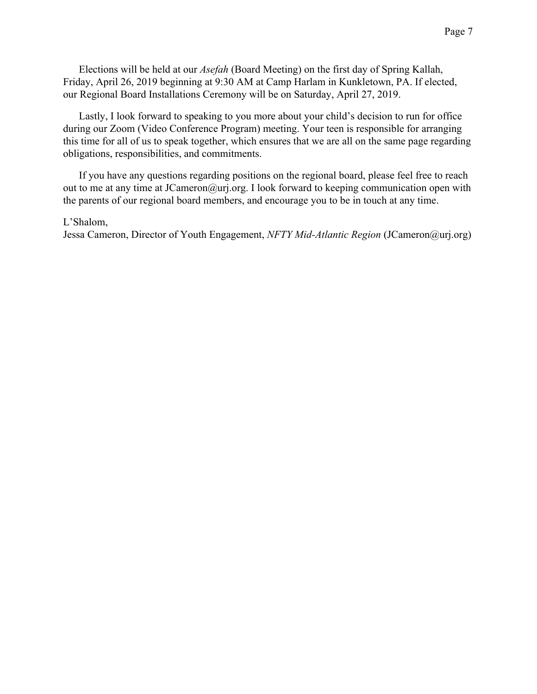Elections will be held at our *Asefah* (Board Meeting) on the first day of Spring Kallah, Friday, April 26, 2019 beginning at 9:30 AM at Camp Harlam in Kunkletown, PA. If elected, our Regional Board Installations Ceremony will be on Saturday, April 27, 2019.

Lastly, I look forward to speaking to you more about your child's decision to run for office during our Zoom (Video Conference Program) meeting. Your teen is responsible for arranging this time for all of us to speak together, which ensures that we are all on the same page regarding obligations, responsibilities, and commitments.

If you have any questions regarding positions on the regional board, please feel free to reach out to me at any time at JCameron@urj.org. I look forward to keeping communication open with the parents of our regional board members, and encourage you to be in touch at any time.

#### L'Shalom,

Jessa Cameron, Director of Youth Engagement, *NFTY Mid-Atlantic Region* (JCameron@urj.org)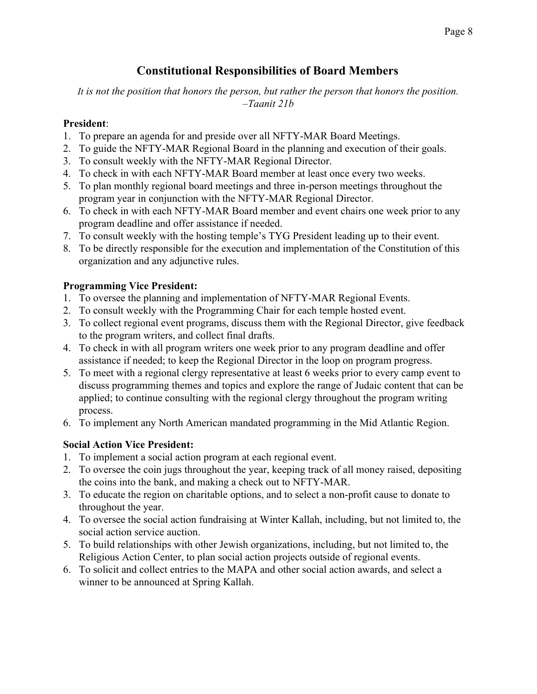# **Constitutional Responsibilities of Board Members**

<span id="page-7-0"></span>*It is not the position that honors the person, but rather the person that honors the position. –Taanit 21b*

#### **President**:

- 1. To prepare an agenda for and preside over all NFTY-MAR Board Meetings.
- 2. To guide the NFTY-MAR Regional Board in the planning and execution of their goals.
- 3. To consult weekly with the NFTY-MAR Regional Director.
- 4. To check in with each NFTY-MAR Board member at least once every two weeks.
- 5. To plan monthly regional board meetings and three in-person meetings throughout the program year in conjunction with the NFTY-MAR Regional Director.
- 6. To check in with each NFTY-MAR Board member and event chairs one week prior to any program deadline and offer assistance if needed.
- 7. To consult weekly with the hosting temple's TYG President leading up to their event.
- 8. To be directly responsible for the execution and implementation of the Constitution of this organization and any adjunctive rules.

#### **Programming Vice President:**

- 1. To oversee the planning and implementation of NFTY-MAR Regional Events.
- 2. To consult weekly with the Programming Chair for each temple hosted event.
- 3. To collect regional event programs, discuss them with the Regional Director, give feedback to the program writers, and collect final drafts.
- 4. To check in with all program writers one week prior to any program deadline and offer assistance if needed; to keep the Regional Director in the loop on program progress.
- 5. To meet with a regional clergy representative at least 6 weeks prior to every camp event to discuss programming themes and topics and explore the range of Judaic content that can be applied; to continue consulting with the regional clergy throughout the program writing process.
- 6. To implement any North American mandated programming in the Mid Atlantic Region.

#### **Social Action Vice President:**

- 1. To implement a social action program at each regional event.
- 2. To oversee the coin jugs throughout the year, keeping track of all money raised, depositing the coins into the bank, and making a check out to NFTY-MAR.
- 3. To educate the region on charitable options, and to select a non-profit cause to donate to throughout the year.
- 4. To oversee the social action fundraising at Winter Kallah, including, but not limited to, the social action service auction.
- 5. To build relationships with other Jewish organizations, including, but not limited to, the Religious Action Center, to plan social action projects outside of regional events.
- 6. To solicit and collect entries to the MAPA and other social action awards, and select a winner to be announced at Spring Kallah.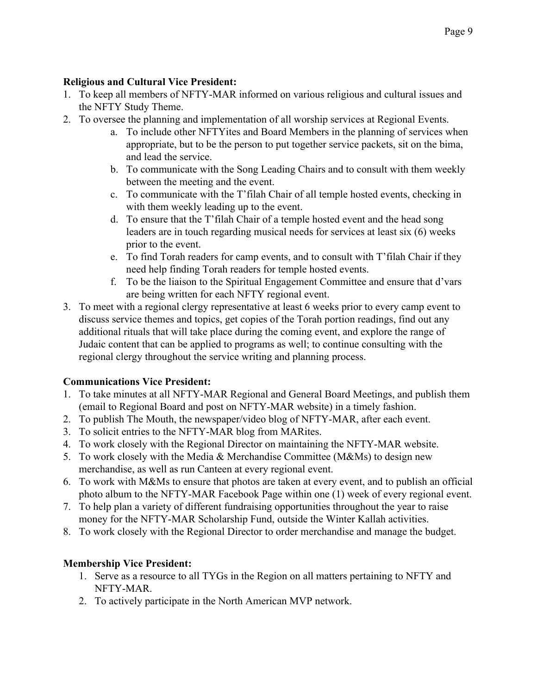#### **Religious and Cultural Vice President:**

- 1. To keep all members of NFTY-MAR informed on various religious and cultural issues and the NFTY Study Theme.
- 2. To oversee the planning and implementation of all worship services at Regional Events.
	- a. To include other NFTYites and Board Members in the planning of services when appropriate, but to be the person to put together service packets, sit on the bima, and lead the service.
	- b. To communicate with the Song Leading Chairs and to consult with them weekly between the meeting and the event.
	- c. To communicate with the T'filah Chair of all temple hosted events, checking in with them weekly leading up to the event.
	- d. To ensure that the T'filah Chair of a temple hosted event and the head song leaders are in touch regarding musical needs for services at least six (6) weeks prior to the event.
	- e. To find Torah readers for camp events, and to consult with T'filah Chair if they need help finding Torah readers for temple hosted events.
	- f. To be the liaison to the Spiritual Engagement Committee and ensure that d'vars are being written for each NFTY regional event.
- 3. To meet with a regional clergy representative at least 6 weeks prior to every camp event to discuss service themes and topics, get copies of the Torah portion readings, find out any additional rituals that will take place during the coming event, and explore the range of Judaic content that can be applied to programs as well; to continue consulting with the regional clergy throughout the service writing and planning process.

#### **Communications Vice President:**

- 1. To take minutes at all NFTY-MAR Regional and General Board Meetings, and publish them (email to Regional Board and post on NFTY-MAR website) in a timely fashion.
- 2. To publish The Mouth, the newspaper/video blog of NFTY-MAR, after each event.
- 3. To solicit entries to the NFTY-MAR blog from MARites.
- 4. To work closely with the Regional Director on maintaining the NFTY-MAR website.
- 5. To work closely with the Media & Merchandise Committee (M&Ms) to design new merchandise, as well as run Canteen at every regional event.
- 6. To work with M&Ms to ensure that photos are taken at every event, and to publish an official photo album to the NFTY-MAR Facebook Page within one (1) week of every regional event.
- 7. To help plan a variety of different fundraising opportunities throughout the year to raise money for the NFTY-MAR Scholarship Fund, outside the Winter Kallah activities.
- 8. To work closely with the Regional Director to order merchandise and manage the budget.

#### **Membership Vice President:**

- 1. Serve as a resource to all TYGs in the Region on all matters pertaining to NFTY and NFTY-MAR.
- 2. To actively participate in the North American MVP network.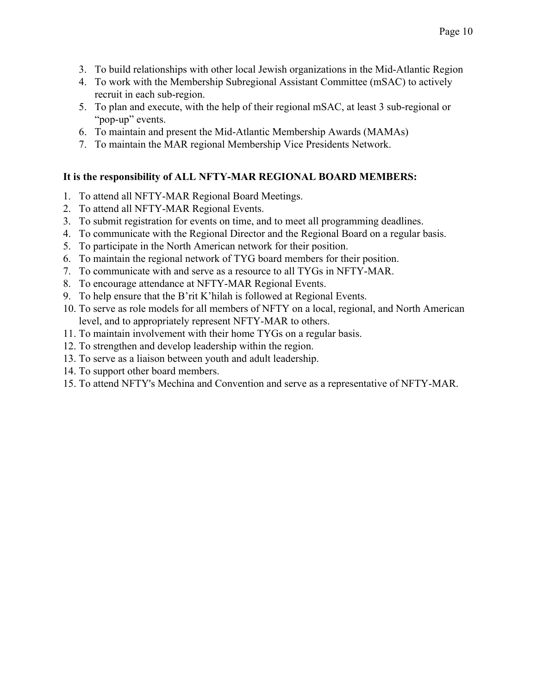- 3. To build relationships with other local Jewish organizations in the Mid-Atlantic Region
- 4. To work with the Membership Subregional Assistant Committee (mSAC) to actively recruit in each sub-region.
- 5. To plan and execute, with the help of their regional mSAC, at least 3 sub-regional or "pop-up" events.
- 6. To maintain and present the Mid-Atlantic Membership Awards (MAMAs)
- 7. To maintain the MAR regional Membership Vice Presidents Network.

#### **It is the responsibility of ALL NFTY-MAR REGIONAL BOARD MEMBERS:**

- 1. To attend all NFTY-MAR Regional Board Meetings.
- 2. To attend all NFTY-MAR Regional Events.
- 3. To submit registration for events on time, and to meet all programming deadlines.
- 4. To communicate with the Regional Director and the Regional Board on a regular basis.
- 5. To participate in the North American network for their position.
- 6. To maintain the regional network of TYG board members for their position.
- 7. To communicate with and serve as a resource to all TYGs in NFTY-MAR.
- 8. To encourage attendance at NFTY-MAR Regional Events.
- 9. To help ensure that the B'rit K'hilah is followed at Regional Events.
- 10. To serve as role models for all members of NFTY on a local, regional, and North American level, and to appropriately represent NFTY-MAR to others.
- 11. To maintain involvement with their home TYGs on a regular basis.
- 12. To strengthen and develop leadership within the region.
- 13. To serve as a liaison between youth and adult leadership.
- 14. To support other board members.
- 15. To attend NFTY's Mechina and Convention and serve as a representative of NFTY-MAR.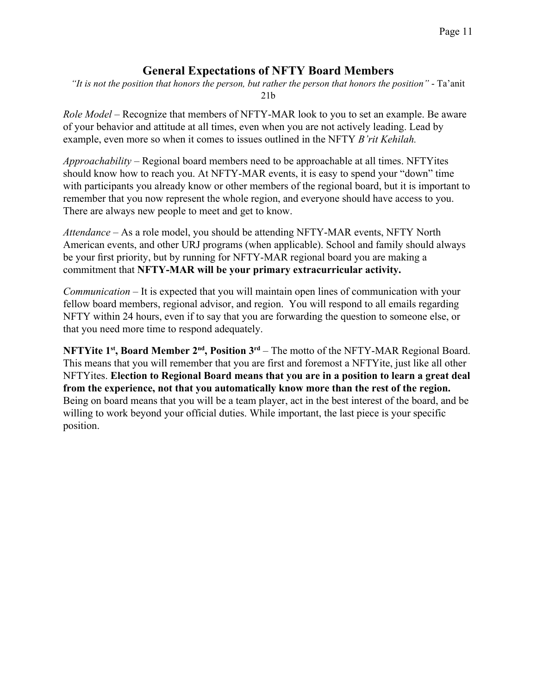#### **General Expectations of NFTY Board Members**

<span id="page-10-0"></span>*"It is not the position that honors the person, but rather the person that honors the position"* - Ta'anit 21b

*Role Model* – Recognize that members of NFTY-MAR look to you to set an example. Be aware of your behavior and attitude at all times, even when you are not actively leading. Lead by example, even more so when it comes to issues outlined in the NFTY *B'rit Kehilah.*

*Approachability* – Regional board members need to be approachable at all times. NFTYites should know how to reach you. At NFTY-MAR events, it is easy to spend your "down" time with participants you already know or other members of the regional board, but it is important to remember that you now represent the whole region, and everyone should have access to you. There are always new people to meet and get to know.

*Attendance* – As a role model, you should be attending NFTY-MAR events, NFTY North American events, and other URJ programs (when applicable). School and family should always be your first priority, but by running for NFTY-MAR regional board you are making a commitment that **NFTY-MAR will be your primary extracurricular activity.**

*Communication* – It is expected that you will maintain open lines of communication with your fellow board members, regional advisor, and region. You will respond to all emails regarding NFTY within 24 hours, even if to say that you are forwarding the question to someone else, or that you need more time to respond adequately.

**NFTYite 1st , Board Member 2nd , Position 3rd** – The motto of the NFTY-MAR Regional Board. This means that you will remember that you are first and foremost a NFTYite, just like all other NFTYites. **Election to Regional Board means that you are in a position to learn a great deal from the experience, not that you automatically know more than the rest of the region.** Being on board means that you will be a team player, act in the best interest of the board, and be willing to work beyond your official duties. While important, the last piece is your specific position.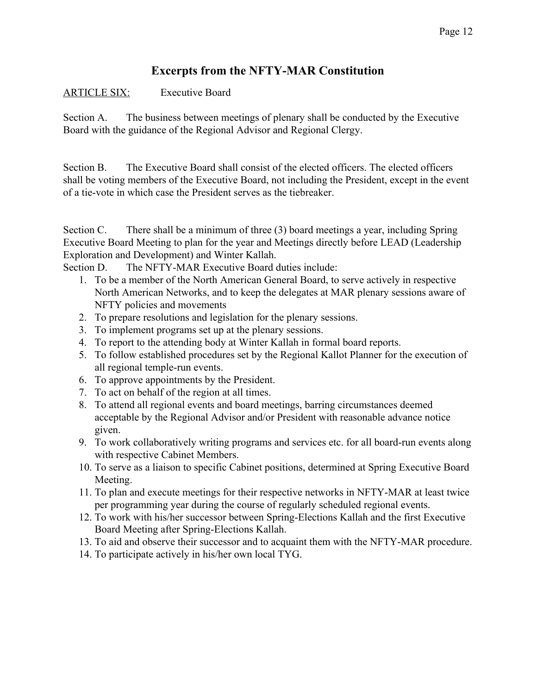# **Excerpts from the NFTY-MAR Constitution**

#### <span id="page-11-0"></span>ARTICLE SIX: Executive Board

Section A. The business between meetings of plenary shall be conducted by the Executive Board with the guidance of the Regional Advisor and Regional Clergy.

Section B. The Executive Board shall consist of the elected officers. The elected officers shall be voting members of the Executive Board, not including the President, except in the event of a tie-vote in which case the President serves as the tiebreaker.

Section C. There shall be a minimum of three (3) board meetings a year, including Spring Executive Board Meeting to plan for the year and Meetings directly before LEAD (Leadership Exploration and Development) and Winter Kallah.

Section D. The NFTY-MAR Executive Board duties include:

- 1. To be a member of the North American General Board, to serve actively in respective North American Networks, and to keep the delegates at MAR plenary sessions aware of NFTY policies and movements
- 2. To prepare resolutions and legislation for the plenary sessions.
- 3. To implement programs set up at the plenary sessions.
- 4. To report to the attending body at Winter Kallah in formal board reports.
- 5. To follow established procedures set by the Regional Kallot Planner for the execution of all regional temple-run events.
- 6. To approve appointments by the President.
- 7. To act on behalf of the region at all times.
- 8. To attend all regional events and board meetings, barring circumstances deemed acceptable by the Regional Advisor and/or President with reasonable advance notice given.
- 9. To work collaboratively writing programs and services etc. for all board-run events along with respective Cabinet Members.
- 10. To serve as a liaison to specific Cabinet positions, determined at Spring Executive Board Meeting.
- 11. To plan and execute meetings for their respective networks in NFTY-MAR at least twice per programming year during the course of regularly scheduled regional events.
- 12. To work with his/her successor between Spring-Elections Kallah and the first Executive Board Meeting after Spring-Elections Kallah.
- 13. To aid and observe their successor and to acquaint them with the NFTY-MAR procedure.
- 14. To participate actively in his/her own local TYG.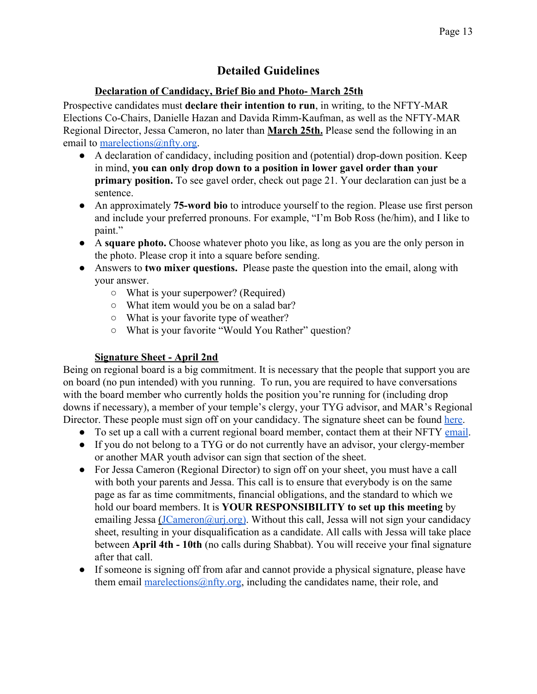# **Detailed Guidelines**

#### **Declaration of Candidacy, Brief Bio and Photo- March 25th**

<span id="page-12-0"></span>Prospective candidates must **declare their intention to run**, in writing, to the NFTY-MAR Elections Co-Chairs, Danielle Hazan and Davida Rimm-Kaufman, as well as the NFTY-MAR Regional Director, Jessa Cameron, no later than **March 25th.** Please send the following in an email to [marelections@nfty.org.](mailto:marelections@nfty.org)

- A declaration of candidacy, including position and (potential) drop-down position. Keep in mind, **you can only drop down to a position in lower gavel order than your primary position.** To see gavel order, check out page 21. Your declaration can just be a sentence.
- An approximately **75-word bio** to introduce yourself to the region. Please use first person and include your preferred pronouns. For example, "I'm Bob Ross (he/him), and I like to paint."
- A **square photo.** Choose whatever photo you like, as long as you are the only person in the photo. Please crop it into a square before sending.
- Answers to **two mixer questions.** Please paste the question into the email, along with your answer.
	- What is your superpower? (Required)
	- What item would you be on a salad bar?
	- What is your favorite type of weather?
	- What is your favorite "Would You Rather" question?

#### **Signature Sheet - April 2nd**

Being on regional board is a big commitment. It is necessary that the people that support you are on board (no pun intended) with you running. To run, you are required to have conversations with the board member who currently holds the position you're running for (including drop downs if necessary), a member of your temple's clergy, your TYG advisor, and MAR's Regional Director. These people must sign off on your candidacy. The signature sheet can be found [here](#page-18-0).

- To set up a call with a current regional board member, contact them at their NFTY [email](#page-20-0).
- If you do not belong to a TYG or do not currently have an advisor, your clergy-member or another MAR youth advisor can sign that section of the sheet.
- For Jessa Cameron (Regional Director) to sign off on your sheet, you must have a call with both your parents and Jessa. This call is to ensure that everybody is on the same page as far as time commitments, financial obligations, and the standard to which we hold our board members. It is **YOUR RESPONSIBILITY to set up this meeting** by emailing Jessa  $(\overline{JCameron@uri.org})$ . Without this call, Jessa will not sign your candidacy sheet, resulting in your disqualification as a candidate. All calls with Jessa will take place between **April 4th - 10th** (no calls during Shabbat). You will receive your final signature after that call.
- If someone is signing off from afar and cannot provide a physical signature, please have them email marelections (@nfty.org, including the candidates name, their role, and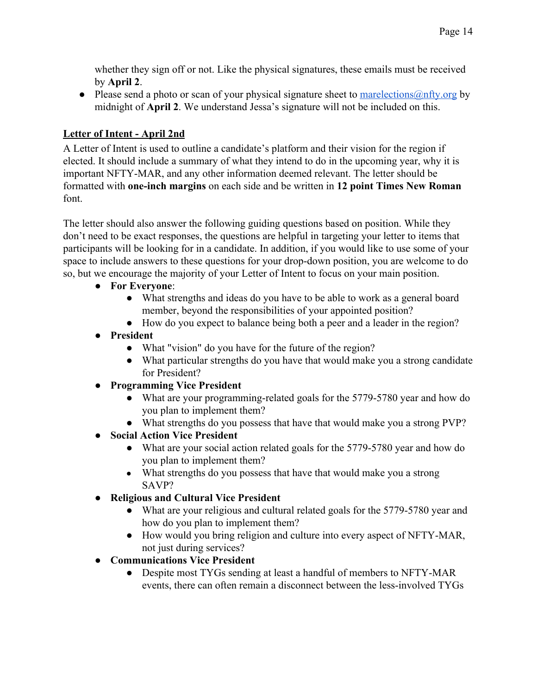whether they sign off or not. Like the physical signatures, these emails must be received by **April 2**.

• Please send a photo or scan of your physical signature sheet to  $\frac{\text{marelections}(a)}{\text{mtry.org}}$  by midnight of **April 2**. We understand Jessa's signature will not be included on this.

## **Letter of Intent - April 2nd**

A Letter of Intent is used to outline a candidate's platform and their vision for the region if elected. It should include a summary of what they intend to do in the upcoming year, why it is important NFTY-MAR, and any other information deemed relevant. The letter should be formatted with **one-inch margins** on each side and be written in **12 point Times New Roman** font.

The letter should also answer the following guiding questions based on position. While they don't need to be exact responses, the questions are helpful in targeting your letter to items that participants will be looking for in a candidate. In addition, if you would like to use some of your space to include answers to these questions for your drop-down position, you are welcome to do so, but we encourage the majority of your Letter of Intent to focus on your main position.

- **For Everyone**:
	- What strengths and ideas do you have to be able to work as a general board member, beyond the responsibilities of your appointed position?
	- How do you expect to balance being both a peer and a leader in the region?
- **President**
	- What "vision" do you have for the future of the region?
	- What particular strengths do you have that would make you a strong candidate for President?
- **Programming Vice President**
	- What are your programming-related goals for the 5779-5780 year and how do you plan to implement them?
	- What strengths do you possess that have that would make you a strong PVP?
- **Social Action Vice President**
	- What are your social action related goals for the 5779-5780 year and how do you plan to implement them?
	- What strengths do you possess that have that would make you a strong SAVP?
- **Religious and Cultural Vice President**
	- What are your religious and cultural related goals for the 5779-5780 year and how do you plan to implement them?
	- How would you bring religion and culture into every aspect of NFTY-MAR, not just during services?
- **Communications Vice President**
	- Despite most TYGs sending at least a handful of members to NFTY-MAR events, there can often remain a disconnect between the less-involved TYGs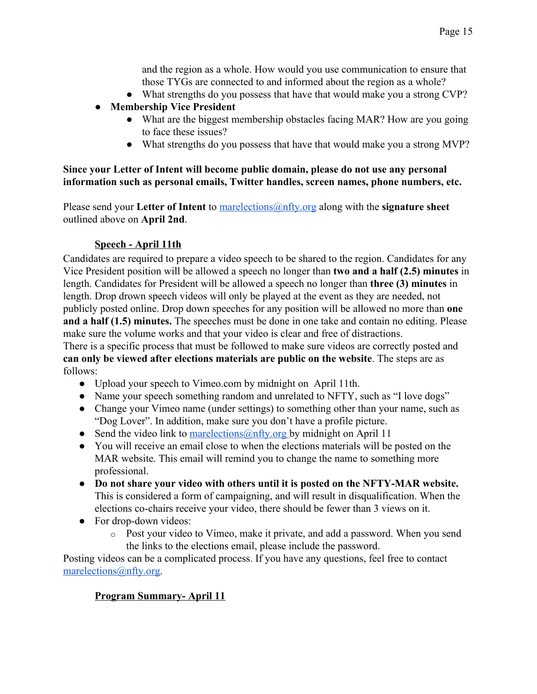and the region as a whole. How would you use communication to ensure that those TYGs are connected to and informed about the region as a whole?

- What strengths do you possess that have that would make you a strong CVP?
- **Membership Vice President**
	- What are the biggest membership obstacles facing MAR? How are you going to face these issues?
	- What strengths do you possess that have that would make you a strong MVP?

#### **Since your Letter of Intent will become public domain, please do not use any personal information such as personal emails, Twitter handles, screen names, phone numbers, etc.**

Please send your Letter of Intent to marelections @nfty.org along with the **signature sheet** outlined above on **April 2nd**.

#### **Speech - April 11th**

Candidates are required to prepare a video speech to be shared to the region. Candidates for any Vice President position will be allowed a speech no longer than **two and a half (2.5) minutes** in length. Candidates for President will be allowed a speech no longer than **three (3) minutes** in length. Drop drown speech videos will only be played at the event as they are needed, not publicly posted online. Drop down speeches for any position will be allowed no more than **one and a half (1.5) minutes.** The speeches must be done in one take and contain no editing. Please make sure the volume works and that your video is clear and free of distractions.

There is a specific process that must be followed to make sure videos are correctly posted and **can only be viewed after elections materials are public on the website**. The steps are as follows:

- Upload your speech to Vimeo.com by midnight on April 11th.
- Name your speech something random and unrelated to NFTY, such as "I love dogs"
- Change your Vimeo name (under settings) to something other than your name, such as "Dog Lover". In addition, make sure you don't have a profile picture.
- Send the video link to [marelections@nfty.org](mailto:marelections@nfty.org) by midnight on April 11
- You will receive an email close to when the elections materials will be posted on the MAR website. This email will remind you to change the name to something more professional.
- **Do not share your video with others until it is posted on the NFTY-MAR website.** This is considered a form of campaigning, and will result in disqualification. When the elections co-chairs receive your video, there should be fewer than 3 views on it.
- For drop-down videos:
	- o Post your video to Vimeo, make it private, and add a password. When you send the links to the elections email, please include the password.

Posting videos can be a complicated process. If you have any questions, feel free to contact [marelections@nfty.org.](mailto:marelections@nfty.org)

#### **Program Summary- April 11**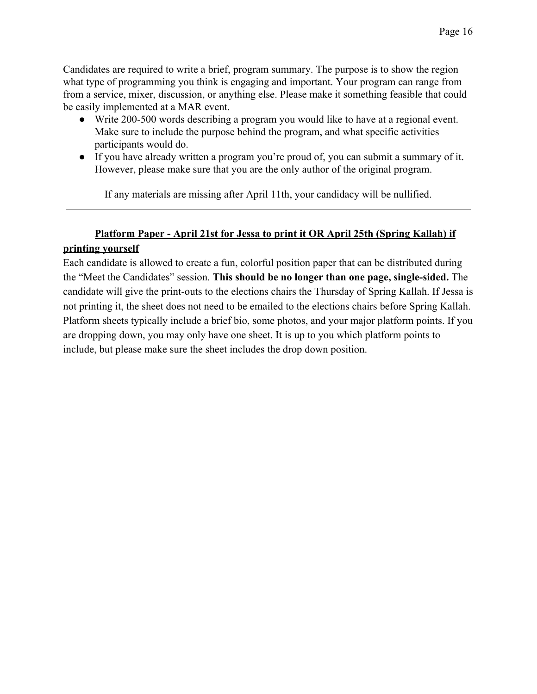Candidates are required to write a brief, program summary. The purpose is to show the region what type of programming you think is engaging and important. Your program can range from from a service, mixer, discussion, or anything else. Please make it something feasible that could be easily implemented at a MAR event.

- Write 200-500 words describing a program you would like to have at a regional event. Make sure to include the purpose behind the program, and what specific activities participants would do.
- If you have already written a program you're proud of, you can submit a summary of it. However, please make sure that you are the only author of the original program.

If any materials are missing after April 11th, your candidacy will be nullified.

## **Platform Paper - April 21st for Jessa to print it OR April 25th (Spring Kallah) if printing yourself**

Each candidate is allowed to create a fun, colorful position paper that can be distributed during the "Meet the Candidates" session. **This should be no longer than one page, single-sided.** The candidate will give the print-outs to the elections chairs the Thursday of Spring Kallah. If Jessa is not printing it, the sheet does not need to be emailed to the elections chairs before Spring Kallah. Platform sheets typically include a brief bio, some photos, and your major platform points. If you are dropping down, you may only have one sheet. It is up to you which platform points to include, but please make sure the sheet includes the drop down position.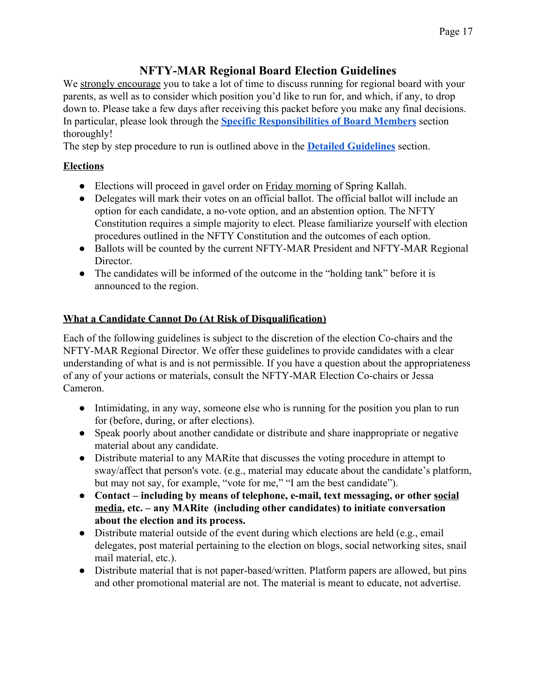# **NFTY-MAR Regional Board Election Guidelines**

<span id="page-16-0"></span>We strongly encourage you to take a lot of time to discuss running for regional board with your parents, as well as to consider which position you'd like to run for, and which, if any, to drop down to. Please take a few days after receiving this packet before you make any final decisions. In particular, please look through the **[Specific Responsibilities of Board Members](#page-7-0)** section thoroughly!

The step by step procedure to run is outlined above in the **[Detailed Guidelines](#page-12-0)** section.

## **Elections**

- Elections will proceed in gavel order on Friday morning of Spring Kallah.
- Delegates will mark their votes on an official ballot. The official ballot will include an option for each candidate, a no-vote option, and an abstention option. The NFTY Constitution requires a simple majority to elect. Please familiarize yourself with election procedures outlined in the NFTY Constitution and the outcomes of each option.
- Ballots will be counted by the current NFTY-MAR President and NFTY-MAR Regional Director.
- The candidates will be informed of the outcome in the "holding tank" before it is announced to the region.

## **What a Candidate Cannot Do (At Risk of Disqualification)**

Each of the following guidelines is subject to the discretion of the election Co-chairs and the NFTY-MAR Regional Director. We offer these guidelines to provide candidates with a clear understanding of what is and is not permissible. If you have a question about the appropriateness of any of your actions or materials, consult the NFTY-MAR Election Co-chairs or Jessa Cameron.

- Intimidating, in any way, someone else who is running for the position you plan to run for (before, during, or after elections).
- Speak poorly about another candidate or distribute and share inappropriate or negative material about any candidate.
- Distribute material to any MARite that discusses the voting procedure in attempt to sway/affect that person's vote. (e.g., material may educate about the candidate's platform, but may not say, for example, "vote for me," "I am the best candidate").
- **● Contact including by means of telephone, e-mail, text messaging, or other social media, etc. – any MARite (including other candidates) to initiate conversation about the election and its process.**
- $\bullet$  Distribute material outside of the event during which elections are held (e.g., email delegates, post material pertaining to the election on blogs, social networking sites, snail mail material, etc.).
- Distribute material that is not paper-based/written. Platform papers are allowed, but pins and other promotional material are not. The material is meant to educate, not advertise.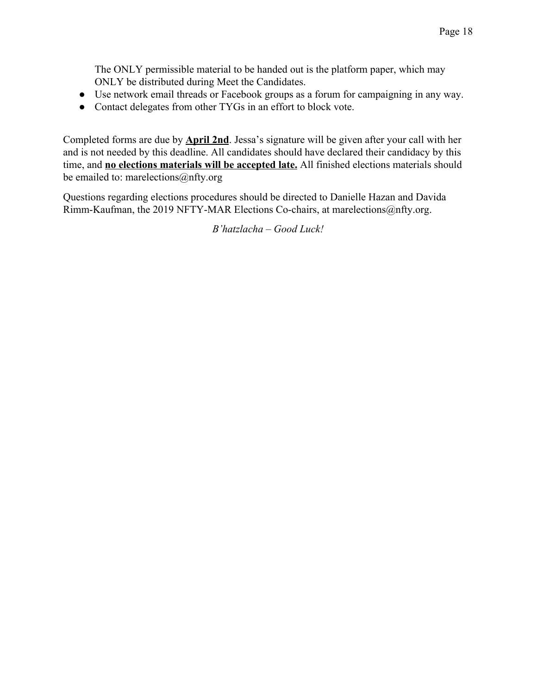The ONLY permissible material to be handed out is the platform paper, which may ONLY be distributed during Meet the Candidates.

- Use network email threads or Facebook groups as a forum for campaigning in any way.
- Contact delegates from other TYGs in an effort to block vote.

Completed forms are due by **April 2nd**. Jessa's signature will be given after your call with her and is not needed by this deadline. All candidates should have declared their candidacy by this time, and **no elections materials will be accepted late.** All finished elections materials should be emailed to: marelections@nfty.org

Questions regarding elections procedures should be directed to Danielle Hazan and Davida Rimm-Kaufman, the 2019 NFTY-MAR Elections Co-chairs, at marelections@nfty.org.

*B'hatzlacha – Good Luck!*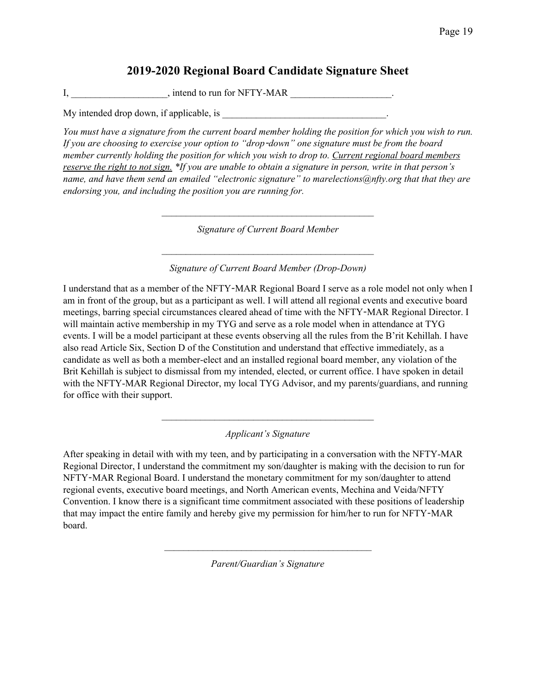## **2019-2020 Regional Board Candidate Signature Sheet**

<span id="page-18-0"></span> $I,$  \_\_\_\_\_\_\_\_\_\_\_\_\_\_\_, intend to run for NFTY-MAR \_\_\_\_\_\_\_\_\_\_\_\_\_\_\_\_\_\_.

My intended drop down, if applicable, is

You must have a signature from the current board member holding the position for which you wish to run. *If you are choosing to exercise your option to "drop*-*down" one signature must be from the board member currently holding the position for which you wish to drop to. Current regional board members* reserve the right to not sign. \*If you are unable to obtain a signature in person, write in that person's *name, and have them send an emailed "electronic signature" to marelections@nfty.org that that they are endorsing you, and including the position you are running for.*

*Signature of Current Board Member*

 $\mathcal{L}^{\mathcal{L}}$ 

*Signature of Current Board Member (Drop-Down)*

 $\mathcal{L}^{\mathcal{L}}$ 

I understand that as a member of the NFTY-MAR Regional Board I serve as a role model not only when I am in front of the group, but as a participant as well. I will attend all regional events and executive board meetings, barring special circumstances cleared ahead of time with the NFTY-MAR Regional Director. I will maintain active membership in my TYG and serve as a role model when in attendance at TYG events. I will be a model participant at these events observing all the rules from the B'rit Kehillah. I have also read Article Six, Section D of the Constitution and understand that effective immediately, as a candidate as well as both a member-elect and an installed regional board member, any violation of the Brit Kehillah is subject to dismissal from my intended, elected, or current office. I have spoken in detail with the NFTY-MAR Regional Director, my local TYG Advisor, and my parents/guardians, and running for office with their support.

*Applicant's Signature*

 $\mathcal{L}^{\mathcal{L}}$ 

After speaking in detail with with my teen, and by participating in a conversation with the NFTY-MAR Regional Director, I understand the commitment my son/daughter is making with the decision to run for NFTY-MAR Regional Board. I understand the monetary commitment for my son/daughter to attend regional events, executive board meetings, and North American events, Mechina and Veida/NFTY Convention. I know there is a significant time commitment associated with these positions of leadership that may impact the entire family and hereby give my permission for him/her to run for NFTY-MAR board.

*Parent/Guardian's Signature*

 $\mathcal{L}_\text{max}$  and the contract of the contract of the contract of the contract of the contract of the contract of the contract of the contract of the contract of the contract of the contract of the contract of the contrac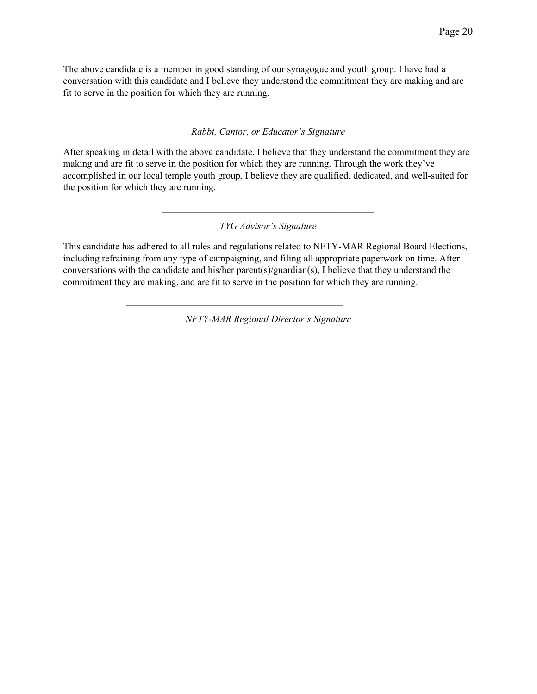The above candidate is a member in good standing of our synagogue and youth group. I have had a conversation with this candidate and I believe they understand the commitment they are making and are fit to serve in the position for which they are running.

#### *Rabbi, Cantor, or Educator's Signature*

 $\mathcal{L}_\text{max}$  and the contract of the contract of the contract of the contract of the contract of the contract of the contract of the contract of the contract of the contract of the contract of the contract of the contrac

After speaking in detail with the above candidate, I believe that they understand the commitment they are making and are fit to serve in the position for which they are running. Through the work they've accomplished in our local temple youth group, I believe they are qualified, dedicated, and well-suited for the position for which they are running.

#### *TYG Advisor's Signature*

 $\mathcal{L}_\text{max}$  and the contract of the contract of the contract of the contract of the contract of the contract of the contract of the contract of the contract of the contract of the contract of the contract of the contrac

This candidate has adhered to all rules and regulations related to NFTY-MAR Regional Board Elections, including refraining from any type of campaigning, and filing all appropriate paperwork on time. After conversations with the candidate and his/her parent(s)/guardian(s), I believe that they understand the commitment they are making, and are fit to serve in the position for which they are running.

*NFTY-MAR Regional Director's Signature*

 $\mathcal{L}_\text{max}$  and the contract of the contract of the contract of the contract of the contract of the contract of the contract of the contract of the contract of the contract of the contract of the contract of the contrac